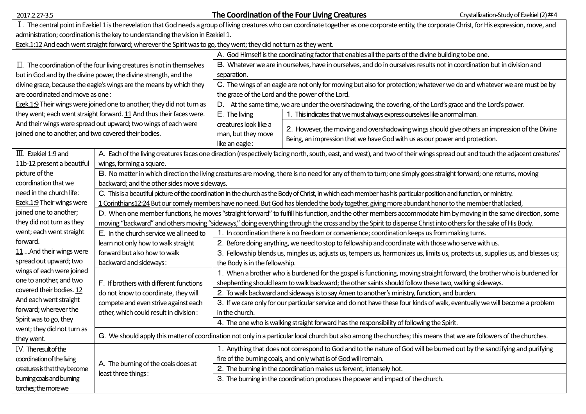| 2017.2.27-3.5                                                                                                                                                                                           |                                                                                                                                                                             |                                                                                                                                                        | The Coordination of the Four Living Creatures                                                        | Crystallization-Study of Ezekiel (2)#4                                                        |  |  |  |  |
|---------------------------------------------------------------------------------------------------------------------------------------------------------------------------------------------------------|-----------------------------------------------------------------------------------------------------------------------------------------------------------------------------|--------------------------------------------------------------------------------------------------------------------------------------------------------|------------------------------------------------------------------------------------------------------|-----------------------------------------------------------------------------------------------|--|--|--|--|
| I. The central point in Ezekiel 1 is the revelation that God needs a group of living creatures who can coordinate together as one corporate entity, the corporate Christ, for His expression, move, and |                                                                                                                                                                             |                                                                                                                                                        |                                                                                                      |                                                                                               |  |  |  |  |
| administration; coordination is the key to understanding the vision in Ezekiel 1.                                                                                                                       |                                                                                                                                                                             |                                                                                                                                                        |                                                                                                      |                                                                                               |  |  |  |  |
| Ezek.1:12 And each went straight forward; wherever the Spirit was to go, they went; they did not turn as they went.                                                                                     |                                                                                                                                                                             |                                                                                                                                                        |                                                                                                      |                                                                                               |  |  |  |  |
|                                                                                                                                                                                                         |                                                                                                                                                                             | A. God Himself is the coordinating factor that enables all the parts of the divine building to be one.                                                 |                                                                                                      |                                                                                               |  |  |  |  |
| $\Pi$ . The coordination of the four living creatures is not in themselves                                                                                                                              |                                                                                                                                                                             | B. Whatever we are in ourselves, have in ourselves, and do in ourselves results not in coordination but in division and                                |                                                                                                      |                                                                                               |  |  |  |  |
| but in God and by the divine power, the divine strength, and the                                                                                                                                        |                                                                                                                                                                             | separation.                                                                                                                                            |                                                                                                      |                                                                                               |  |  |  |  |
| divine grace, because the eagle's wings are the means by which they                                                                                                                                     |                                                                                                                                                                             | C. The wings of an eagle are not only for moving but also for protection; whatever we do and whatever we are must be by                                |                                                                                                      |                                                                                               |  |  |  |  |
| are coordinated and move as one:                                                                                                                                                                        |                                                                                                                                                                             | the grace of the Lord and the power of the Lord.                                                                                                       |                                                                                                      |                                                                                               |  |  |  |  |
| Ezek.1:9 Their wings were joined one to another; they did not turn as                                                                                                                                   |                                                                                                                                                                             | D. At the same time, we are under the overshadowing, the covering, of the Lord's grace and the Lord's power.                                           |                                                                                                      |                                                                                               |  |  |  |  |
| they went; each went straight forward. 11 And thus their faces were.                                                                                                                                    |                                                                                                                                                                             | E. The living                                                                                                                                          | 1. This indicates that we must always express ourselves like a normal man.                           |                                                                                               |  |  |  |  |
| And their wings were spread out upward; two wings of each were                                                                                                                                          |                                                                                                                                                                             | creatures look like a                                                                                                                                  |                                                                                                      |                                                                                               |  |  |  |  |
| joined one to another, and two covered their bodies.                                                                                                                                                    |                                                                                                                                                                             | man, but they move                                                                                                                                     |                                                                                                      | 2. However, the moving and overshadowing wings should give others an impression of the Divine |  |  |  |  |
|                                                                                                                                                                                                         |                                                                                                                                                                             | like an eagle:                                                                                                                                         | Being, an impression that we have God with us as our power and protection.                           |                                                                                               |  |  |  |  |
| $\overline{\mathbf{m}}$ . Ezekiel 1:9 and                                                                                                                                                               | A. Each of the living creatures faces one direction (respectively facing north, south, east, and west), and two of their wings spread out and touch the adjacent creatures' |                                                                                                                                                        |                                                                                                      |                                                                                               |  |  |  |  |
| 11b-12 present a beautiful                                                                                                                                                                              | wings, forming a square.                                                                                                                                                    |                                                                                                                                                        |                                                                                                      |                                                                                               |  |  |  |  |
| picture of the                                                                                                                                                                                          | B. No matter in which direction the living creatures are moving, there is no need for any of them to turn; one simply goes straight forward; one returns, moving            |                                                                                                                                                        |                                                                                                      |                                                                                               |  |  |  |  |
| coordination that we                                                                                                                                                                                    | backward; and the other sides move sideways.                                                                                                                                |                                                                                                                                                        |                                                                                                      |                                                                                               |  |  |  |  |
| need in the church life:                                                                                                                                                                                | C. This is a beautiful picture of the coordination in the church as the Body of Christ, in which each member has his particular position and function, or ministry.         |                                                                                                                                                        |                                                                                                      |                                                                                               |  |  |  |  |
| Ezek.1:9 Their wings were                                                                                                                                                                               | 1 Corinthians12:24 But our comely members have no need. But God has blended the body together, giving more abundant honor to the member that lacked,                        |                                                                                                                                                        |                                                                                                      |                                                                                               |  |  |  |  |
| joined one to another;                                                                                                                                                                                  | D. When one member functions, he moves "straight forward" to fulfill his function, and the other members accommodate him by moving in the same direction, some              |                                                                                                                                                        |                                                                                                      |                                                                                               |  |  |  |  |
| they did not turn as they                                                                                                                                                                               | moving "backward" and others moving "sideways," doing everything through the cross and by the Spirit to dispense Christ into others for the sake of His Body.               |                                                                                                                                                        |                                                                                                      |                                                                                               |  |  |  |  |
| went; each went straight                                                                                                                                                                                | E. In the church service we all need to<br>1. In coordination there is no freedom or convenience; coordination keeps us from making turns.                                  |                                                                                                                                                        |                                                                                                      |                                                                                               |  |  |  |  |
| forward.                                                                                                                                                                                                | learn not only how to walk straight                                                                                                                                         |                                                                                                                                                        | 2. Before doing anything, we need to stop to fellowship and coordinate with those who serve with us. |                                                                                               |  |  |  |  |
| 11  And their wings were                                                                                                                                                                                | forward but also how to walk<br>3. Fellowship blends us, mingles us, adjusts us, tempers us, harmonizes us, limits us, protects us, supplies us, and blesses us;            |                                                                                                                                                        |                                                                                                      |                                                                                               |  |  |  |  |
| spread out upward; two                                                                                                                                                                                  | backward and sideways:<br>the Body is in the fellowship.                                                                                                                    |                                                                                                                                                        |                                                                                                      |                                                                                               |  |  |  |  |
| wings of each were joined                                                                                                                                                                               | 1. When a brother who is burdened for the gospel is functioning, moving straight forward, the brother who is burdened for                                                   |                                                                                                                                                        |                                                                                                      |                                                                                               |  |  |  |  |
| one to another, and two                                                                                                                                                                                 | F. If brothers with different functions                                                                                                                                     | shepherding should learn to walk backward; the other saints should follow these two, walking sideways.                                                 |                                                                                                      |                                                                                               |  |  |  |  |
| covered their bodies. 12                                                                                                                                                                                | 2. To walk backward and sideways is to say Amen to another's ministry, function, and burden.<br>do not know to coordinate, they will                                        |                                                                                                                                                        |                                                                                                      |                                                                                               |  |  |  |  |
| And each went straight                                                                                                                                                                                  | compete and even strive against each<br>3. If we care only for our particular service and do not have these four kinds of walk, eventually we will become a problem         |                                                                                                                                                        |                                                                                                      |                                                                                               |  |  |  |  |
| forward; wherever the                                                                                                                                                                                   | other, which could result in division:<br>in the church.<br>4. The one who is walking straight forward has the responsibility of following the Spirit.                      |                                                                                                                                                        |                                                                                                      |                                                                                               |  |  |  |  |
| Spirit was to go, they                                                                                                                                                                                  |                                                                                                                                                                             |                                                                                                                                                        |                                                                                                      |                                                                                               |  |  |  |  |
| went; they did not turn as                                                                                                                                                                              | G. We should apply this matter of coordination not only in a particular local church but also among the churches; this means that we are followers of the churches.         |                                                                                                                                                        |                                                                                                      |                                                                                               |  |  |  |  |
| they went.                                                                                                                                                                                              |                                                                                                                                                                             |                                                                                                                                                        |                                                                                                      |                                                                                               |  |  |  |  |
| IV. The result of the                                                                                                                                                                                   |                                                                                                                                                                             | 1. Anything that does not correspond to God and to the nature of God will be burned out by the sanctifying and purifying                               |                                                                                                      |                                                                                               |  |  |  |  |
| coordination of the living                                                                                                                                                                              | A. The burning of the coals does at                                                                                                                                         | fire of the burning coals, and only what is of God will remain.                                                                                        |                                                                                                      |                                                                                               |  |  |  |  |
| creatures is that they become                                                                                                                                                                           | least three things:                                                                                                                                                         | 2. The burning in the coordination makes us fervent, intensely hot.<br>3. The burning in the coordination produces the power and impact of the church. |                                                                                                      |                                                                                               |  |  |  |  |
| burning coals and burning                                                                                                                                                                               |                                                                                                                                                                             |                                                                                                                                                        |                                                                                                      |                                                                                               |  |  |  |  |
| torches; the more we                                                                                                                                                                                    |                                                                                                                                                                             |                                                                                                                                                        |                                                                                                      |                                                                                               |  |  |  |  |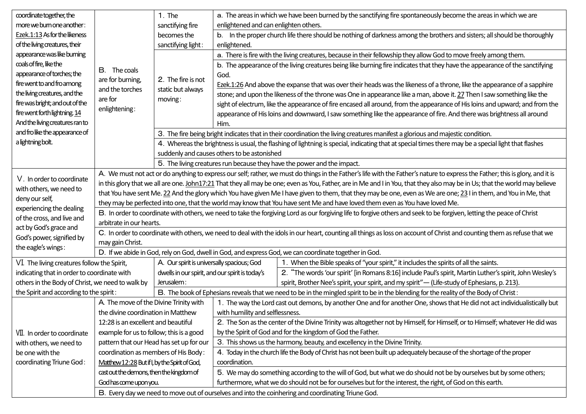| coordinate together, the                               |                                                                                                                                                                                                    | 1. The                                                                                                                                               | a. The areas in which we have been burned by the sanctifying fire spontaneously become the areas in which we are                       |                                                                                                                              |  |  |
|--------------------------------------------------------|----------------------------------------------------------------------------------------------------------------------------------------------------------------------------------------------------|------------------------------------------------------------------------------------------------------------------------------------------------------|----------------------------------------------------------------------------------------------------------------------------------------|------------------------------------------------------------------------------------------------------------------------------|--|--|
| more we burn one another:                              |                                                                                                                                                                                                    | sanctifying fire                                                                                                                                     | enlightened and can enlighten others.                                                                                                  |                                                                                                                              |  |  |
| Ezek.1:13 As for the likeness                          |                                                                                                                                                                                                    | becomes the                                                                                                                                          | b. In the proper church life there should be nothing of darkness among the brothers and sisters; all should be thoroughly              |                                                                                                                              |  |  |
| of the living creatures, their                         | sanctifying light:                                                                                                                                                                                 |                                                                                                                                                      | enlightened.                                                                                                                           |                                                                                                                              |  |  |
| appearance was like burning                            |                                                                                                                                                                                                    |                                                                                                                                                      | a. There is fire with the living creatures, because in their fellowship they allow God to move freely among them.                      |                                                                                                                              |  |  |
| coals of fire, like the                                |                                                                                                                                                                                                    |                                                                                                                                                      | b. The appearance of the living creatures being like burning fire indicates that they have the appearance of the sanctifying           |                                                                                                                              |  |  |
| appearance of torches; the                             | <b>B.</b> The coals                                                                                                                                                                                |                                                                                                                                                      | God.                                                                                                                                   |                                                                                                                              |  |  |
| fire went to and fro among                             | are for burning,                                                                                                                                                                                   | 2. The fire is not                                                                                                                                   | Ezek.1:26 And above the expanse that was over their heads was the likeness of a throne, like the appearance of a sapphire              |                                                                                                                              |  |  |
| the living creatures, and the                          | and the torches<br>are for                                                                                                                                                                         | static but always                                                                                                                                    |                                                                                                                                        | stone; and upon the likeness of the throne was One in appearance like a man, above it. 27 Then I saw something like the      |  |  |
| fire was bright; and out of the                        |                                                                                                                                                                                                    | moving:                                                                                                                                              |                                                                                                                                        | sight of electrum, like the appearance of fire encased all around, from the appearance of His loins and upward; and from the |  |  |
| fire went forth lightning. 14                          | enlightening:                                                                                                                                                                                      |                                                                                                                                                      |                                                                                                                                        | appearance of His loins and downward, I saw something like the appearance of fire. And there was brightness all around       |  |  |
| And the living creatures ran to                        |                                                                                                                                                                                                    | Him.                                                                                                                                                 |                                                                                                                                        |                                                                                                                              |  |  |
| and fro like the appearance of                         |                                                                                                                                                                                                    | 3. The fire being bright indicates that in their coordination the living creatures manifest a glorious and majestic condition.                       |                                                                                                                                        |                                                                                                                              |  |  |
| a lightning bolt.                                      |                                                                                                                                                                                                    | 4. Whereas the brightness is usual, the flashing of lightning is special, indicating that at special times there may be a special light that flashes |                                                                                                                                        |                                                                                                                              |  |  |
|                                                        |                                                                                                                                                                                                    | suddenly and causes others to be astonished                                                                                                          |                                                                                                                                        |                                                                                                                              |  |  |
|                                                        |                                                                                                                                                                                                    | 5. The living creatures run because they have the power and the impact.                                                                              |                                                                                                                                        |                                                                                                                              |  |  |
| V. In order to coordinate                              | A. We must not act or do anything to express our self; rather, we must do things in the Father's life with the Father's nature to express the Father; this is glory, and it is                     |                                                                                                                                                      |                                                                                                                                        |                                                                                                                              |  |  |
| with others, we need to                                | in this glory that we all are one. John17:21 That they all may be one; even as You, Father, are in Me and I in You, that they also may be in Us; that the world may believe                        |                                                                                                                                                      |                                                                                                                                        |                                                                                                                              |  |  |
| deny our self,                                         | that You have sent Me. 22 And the glory which You have given Me I have given to them, that they may be one, even as We are one; 23 I in them, and You in Me, that                                  |                                                                                                                                                      |                                                                                                                                        |                                                                                                                              |  |  |
| experiencing the dealing<br>of the cross, and live and | they may be perfected into one, that the world may know that You have sent Me and have loved them even as You have loved Me.                                                                       |                                                                                                                                                      |                                                                                                                                        |                                                                                                                              |  |  |
|                                                        | B. In order to coordinate with others, we need to take the forgiving Lord as our forgiving life to forgive others and seek to be forgiven, letting the peace of Christ<br>arbitrate in our hearts. |                                                                                                                                                      |                                                                                                                                        |                                                                                                                              |  |  |
| act by God's grace and                                 | C. In order to coordinate with others, we need to deal with the idols in our heart, counting all things as loss on account of Christ and counting them as refuse that we                           |                                                                                                                                                      |                                                                                                                                        |                                                                                                                              |  |  |
| God's power, signified by                              | may gain Christ.                                                                                                                                                                                   |                                                                                                                                                      |                                                                                                                                        |                                                                                                                              |  |  |
| the eagle's wings:                                     | D. If we abide in God, rely on God, dwell in God, and express God, we can coordinate together in God.                                                                                              |                                                                                                                                                      |                                                                                                                                        |                                                                                                                              |  |  |
| VI. The living creatures follow the Spirit,            |                                                                                                                                                                                                    | A. Our spirit is universally spacious; God                                                                                                           |                                                                                                                                        | 1. When the Bible speaks of "your spirit," it includes the spirits of all the saints.                                        |  |  |
| indicating that in order to coordinate with            |                                                                                                                                                                                                    | dwells in our spirit, and our spirit is today's                                                                                                      |                                                                                                                                        | 2. "The words 'our spirit' [in Romans 8:16] include Paul's spirit, Martin Luther's spirit, John Wesley's                     |  |  |
| others in the Body of Christ, we need to walk by       |                                                                                                                                                                                                    | Jerusalem:                                                                                                                                           |                                                                                                                                        | spirit, Brother Nee's spirit, your spirit, and my spirit" - (Life-study of Ephesians, p. 213).                               |  |  |
| the Spirit and according to the spirit:                |                                                                                                                                                                                                    |                                                                                                                                                      | B. The book of Ephesians reveals that we need to be in the mingled spirit to be in the blending for the reality of the Body of Christ: |                                                                                                                              |  |  |
|                                                        | A. The move of the Divine Trinity with                                                                                                                                                             |                                                                                                                                                      | 1. The way the Lord cast out demons, by another One and for another One, shows that He did not act individualistically but             |                                                                                                                              |  |  |
|                                                        | the divine coordination in Matthew                                                                                                                                                                 |                                                                                                                                                      | with humility and selflessness.                                                                                                        |                                                                                                                              |  |  |
|                                                        | 12:28 is an excellent and beautiful                                                                                                                                                                |                                                                                                                                                      | 2. The Son as the center of the Divine Trinity was altogether not by Himself, for Himself, or to Himself; whatever He did was          |                                                                                                                              |  |  |
| VII. In order to coordinate                            | example for us to follow; this is a good                                                                                                                                                           |                                                                                                                                                      | by the Spirit of God and for the kingdom of God the Father.                                                                            |                                                                                                                              |  |  |
| with others, we need to                                | pattern that our Head has set up for our                                                                                                                                                           |                                                                                                                                                      | 3. This shows us the harmony, beauty, and excellency in the Divine Trinity.                                                            |                                                                                                                              |  |  |
| be one with the                                        | coordination as members of His Body:                                                                                                                                                               |                                                                                                                                                      | 4. Today in the church life the Body of Christ has not been built up adequately because of the shortage of the proper                  |                                                                                                                              |  |  |
| coordinating Triune God:                               | Matthew 12:28 But if I, by the Spirit of God,                                                                                                                                                      |                                                                                                                                                      | coordination.                                                                                                                          |                                                                                                                              |  |  |
|                                                        |                                                                                                                                                                                                    | cast out the demons, then the kingdom of                                                                                                             | 5. We may do something according to the will of God, but what we do should not be by ourselves but by some others;                     |                                                                                                                              |  |  |
|                                                        | God has come upon you.                                                                                                                                                                             |                                                                                                                                                      | furthermore, what we do should not be for ourselves but for the interest, the right, of God on this earth.                             |                                                                                                                              |  |  |
|                                                        | B. Every day we need to move out of ourselves and into the coinhering and coordinating Triune God.                                                                                                 |                                                                                                                                                      |                                                                                                                                        |                                                                                                                              |  |  |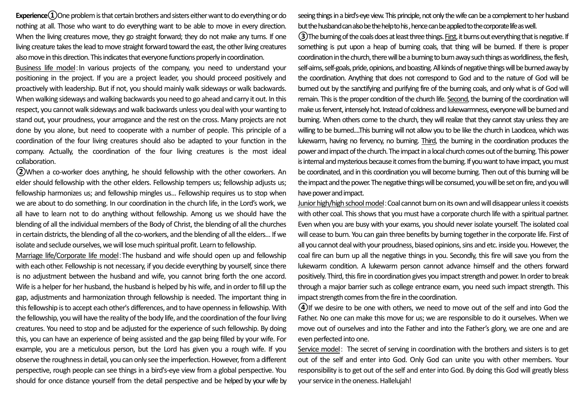**Experience** $\Omega$ One problem is that certain brothers and sisters either want to do everything or do nothing at all. Those who want to do everything want to be able to move in every direction. When the living creatures move, they go straight forward; they do not make any turns. If one living creature takes the lead to move straight forward toward the east, the other living creatures also move in this direction.This indicates that everyone functions properly in coordination.

Business life model:In various projects of the company, you need to understand your positioning in the project. If you are a project leader, you should proceed positively and proactively with leadership. But if not, you should mainly walk sideways or walk backwards. When walking sideways and walking backwards you need to go ahead and carry it out. In this respect, you cannot walk sideways and walk backwards unless you deal with your wanting to stand out, your proudness, your arrogance and the rest on the cross. Many projects are not done by you alone, but need to cooperate with a number of people. This principle of a coordination of the four living creatures should also be adapted to your function in the company. Actually, the coordination of the four living creatures is the most ideal collaboration.

**②**When a co-worker does anything, he should fellowship with the other coworkers. An elder should fellowship with the other elders. Fellowship tempers us; fellowship adjusts us; fellowship harmonizes us; and fellowship mingles us... Fellowship requires us to stop when we are about to do something. In our coordination in the church life, in the Lord's work, we all have to learn not to do anything without fellowship. Among us we should have the blending of all the individual members of the Body of Christ, the blending of all the churches in certain districts, the blending of all the co-workers, and the blending of all the elders... If we isolate and seclude ourselves, we will lose much spiritual profit. Learn to fellowship.

Marriage life/Corporate life model:The husband and wife should open up and fellowship with each other. Fellowship is not necessary, if you decide everything by yourself, since there is no adjustment between the husband and wife, you cannot bring forth the one accord. Wife is a helper for her husband, the husband is helped by his wife, and in order to fill up the gap, adjustments and harmonization through fellowship is needed. The important thing in this fellowship is to accept each other's differences, and to have openness in fellowship. With the fellowship, you will have the reality of the body life, and the coordination of the four living creatures. You need to stop and be adjusted for the experience of such fellowship. By doing this, you can have an experience of being assisted and the gap being filled by your wife. For example, you are a meticulous person, but the Lord has given you a rough wife. If you observe the roughnessin detail, you can only see the imperfection.However, from a different perspective, rough people can see things in a bird's-eye view from a global perspective. You should for once distance yourself from the detail perspective and be helped by your wife by seeing things in a bird's-eye view. This principle, not only the wife can be a complement to her husband but the husband can also be the helpto his , hence can be applied to the corporate life as well.

**③**The burning of the coals does at least three things. First, it burns outeverything that is negative. If something is put upon a heap of burning coals, that thing will be burned. If there is proper coordination in the church, there will be aburning to burn away such things as worldliness, the flesh, self-aims, self-goals, pride, opinions, and boasting. All kinds of negative things will be burned away by the coordination. Anything that does not correspond to God and to the nature of God will be burned out by the sanctifying and purifying fire of the burning coals, and only what is of God will remain. This is the proper condition of the church life. Second, the burning of the coordination will make us fervent, intensely hot. Instead of coldness and lukewarmness, everyone will be burned and burning. When others come to the church, they will realize that they cannot stay unless they are willing to be burned....This burning will not allow you to be like the church in Laodicea, which was lukewarm, having no fervency, no burning. Third, the burning in the coordination produces the power and impact of the church. The impact in a local church comes out of the burning. This power is internal and mysterious because it comes from the burning. If you want to have impact, you must be coordinated, and in this coordination you will become burning. Then out of this burning will be the impact and the power. The negative things will be consumed, you will be set on fire, and you will have power and impact.

Junior high/high school model: Coal cannot burn on its own and will disappear unless it coexists with other coal. This shows that you must have a corporate church life with a spiritual partner. Even when you are busy with your exams, you should never isolate yourself. The isolated coal will cease to burn. You can gain three benefits by burning together in the corporate life. First of all you cannot deal with your proudness, biased opinions, sins and etc. inside you. However, the coal fire can burn up all the negative things in you. Secondly, this fire will save you from the lukewarm condition. A lukewarm person cannot advance himself and the others forward positively. Third, this fire in coordination gives you impact strength and power. In order to break through a major barrier such as college entrance exam, you need such impact strength. This impact strength comes from the fire in the coordination.

**④**If we desire to be one with others, we need to move out of the self and into God the Father. No one can make this move for us; we are responsible to do it ourselves. When we move out of ourselves and into the Father and into the Father's glory, we are one and are even perfected into one.

Service model: The secret of serving in coordination with the brothers and sisters is to get out of the self and enter into God. Only God can unite you with other members. Your responsibility is to get out of the self and enter into God. By doing this God will greatly bless your service in the oneness. Hallelujah!